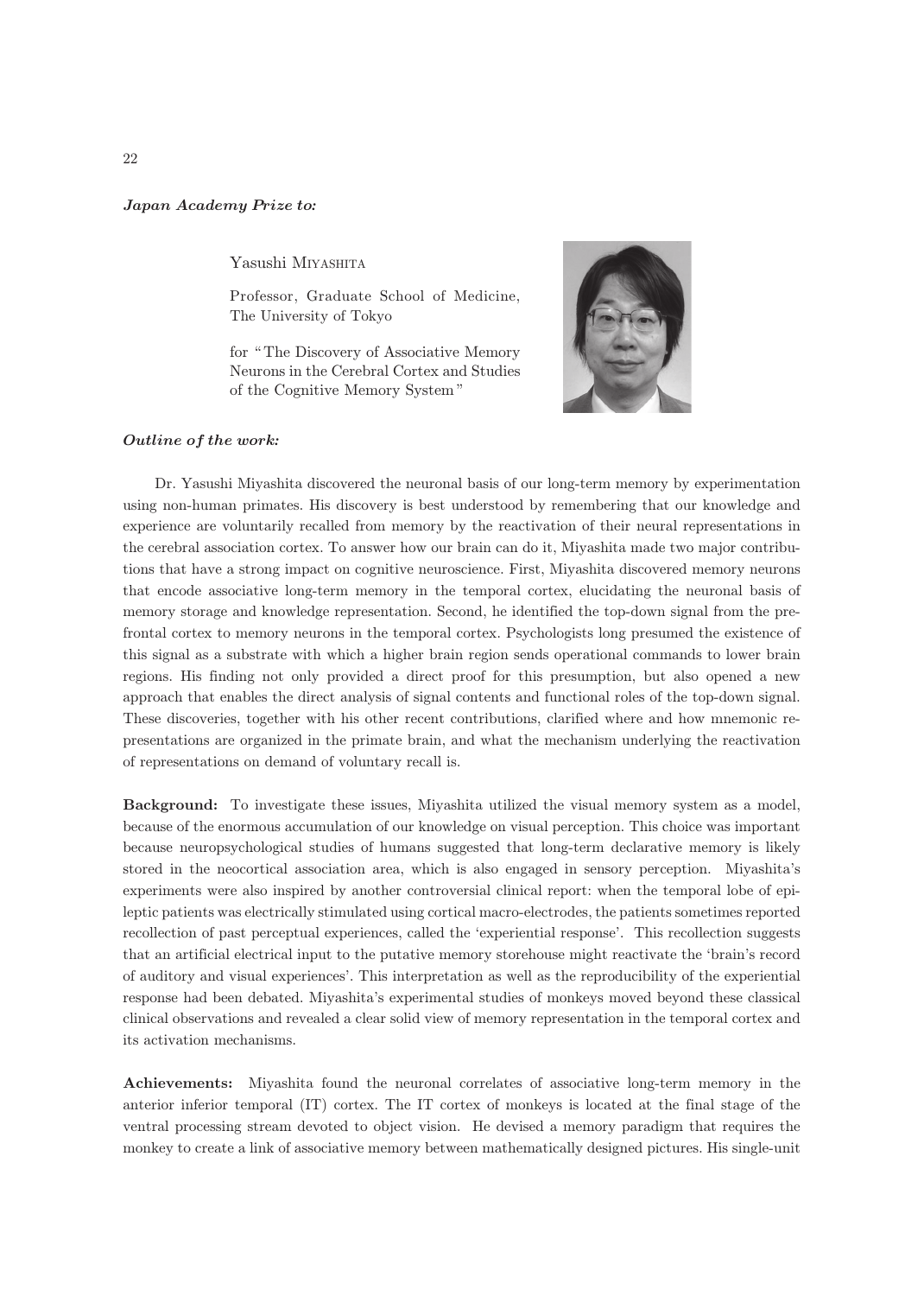## Japan Academy Prize to*:*

Yasushi MIYASHITA

Professor, Graduate School of Medicine, The University of Tokyo

for " The Discovery of Associative Memory Neurons in the Cerebral Cortex and Studies of the Cognitive Memory System "



## Outline of the work*:*

Dr. Yasushi Miyashita discovered the neuronal basis of our long-term memory by experimentation using non-human primates. His discovery is best understood by remembering that our knowledge and experience are voluntarily recalled from memory by the reactivation of their neural representations in the cerebral association cortex. To answer how our brain can do it, Miyashita made two major contributions that have a strong impact on cognitive neuroscience. First, Miyashita discovered memory neurons that encode associative long-term memory in the temporal cortex, elucidating the neuronal basis of memory storage and knowledge representation. Second, he identified the top-down signal from the prefrontal cortex to memory neurons in the temporal cortex. Psychologists long presumed the existence of this signal as a substrate with which a higher brain region sends operational commands to lower brain regions. His finding not only provided a direct proof for this presumption, but also opened a new approach that enables the direct analysis of signal contents and functional roles of the top-down signal. These discoveries, together with his other recent contributions, clarified where and how mnemonic representations are organized in the primate brain, and what the mechanism underlying the reactivation of representations on demand of voluntary recall is.

Background: To investigate these issues, Miyashita utilized the visual memory system as a model, because of the enormous accumulation of our knowledge on visual perception. This choice was important because neuropsychological studies of humans suggested that long-term declarative memory is likely stored in the neocortical association area, which is also engaged in sensory perception. Miyashita's experiments were also inspired by another controversial clinical report: when the temporal lobe of epileptic patients was electrically stimulated using cortical macro-electrodes, the patients sometimes reported recollection of past perceptual experiences, called the 'experiential response'. This recollection suggests that an artificial electrical input to the putative memory storehouse might reactivate the 'brain's record of auditory and visual experiences'. This interpretation as well as the reproducibility of the experiential response had been debated. Miyashita's experimental studies of monkeys moved beyond these classical clinical observations and revealed a clear solid view of memory representation in the temporal cortex and its activation mechanisms.

Achievements: Miyashita found the neuronal correlates of associative long-term memory in the anterior inferior temporal (IT) cortex. The IT cortex of monkeys is located at the final stage of the ventral processing stream devoted to object vision. He devised a memory paradigm that requires the monkey to create a link of associative memory between mathematically designed pictures. His single-unit